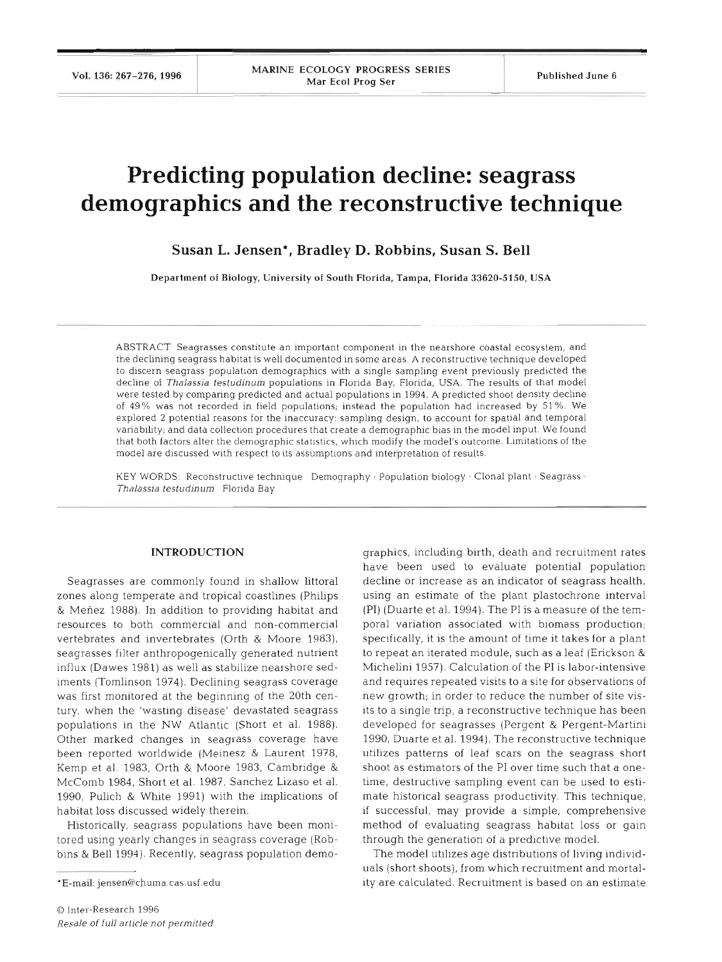Vol. 136: 267-276, 1996

# **Predicting population decline: seagrass demographics and the reconstructive technique**

## **Susan L. Jensen\*, Bradley D. Robbins, Susan S. Bell**

Department of Biology, University of South Florida, Tampa. Florida **33620-5150,** USA

ABSTRACT. Seagrasses constitute an important component in the nearshore coastal ecosystem, and the declining seagrass habitat is well documented in some areas. A reconstructive technique developed to discern seagrass population demographics with a single sampling event previously predicted the decline of *Thalassia testudinurn* populations in Florida Bay. Florida, USA. The results of that model were tested by comparing predicted and actual populations in 1994. A predicted shoot density decline of 49% was not recorded in field populations; instead the population had increased by 51%. We explored 2 potential reasons for the inaccuracy: sampling design, to account for spatial and temporal variability; and data collection procedures that create a demographic bias in the model input. We found that both factors alter the demographic statistics, which modify the model's outcome. Limitations of the model are discussed with respect to its assumptions and interpretation of results.

KEY WORDS: Reconstructive technique Demography · Population biology · Clonal plant · Seagrass · *Thalassia testudinum* Florida Bay

## **INTRODUCTION**

Seagrasses are commonly found in shallow littoral zones along temperate and tropical coastlines (Philips & Menez 1988). In addition to providing habitat and resources to both commercial and non-commercial vertebrates and invertebrates (Orth & Moore 1983), seagrasses filter anthropogenically generated nutrient influx (Dawes 1981) as well as stabilize nearshore sediments (Tomlinson 1974). Declining seagrass coverage was first monitored at the beginning of the 20th century, when the 'wasting disease' devastated seagrass populations in the NW Atlantic (Short et al. 1988). Other marked changes in seagrass coverage have been reported worldwide (Meinesz & Laurent 1978, Kemp et al. 1983, Orth & Moore 1983, Cambridge & McComb 1984, Short et al. 1987, Sanchez Lizaso et al. 1990, Pulich & White 1991) with the implications of habitat loss discussed widely therein.

Historically, seagrass populations have been monitored using yearly changes in seagrass coverage (Robbins & Bell 1994). Recently, seagrass population demo-

graphics, including birth, death and recruitment rates<br>have been used to evaluate potential population<br>decline or increase as an indicator of seagrass health,<br>using an estimate of the plant plastochrone interval<br>(PI) (Duar Michelini 1957). Calculation of the PI is labor-intensive<br>and requires repeated visits to a site for observations of<br>new growth; in order to reduce the number of site vis-<br>its to a single trip, a reconstructive technique

uals (short shoots), from which recruitment and mortality are calculated. Recruitment is based on an estimate

<sup>&#</sup>x27;E-mail: jensen@chuma.cas.usf.edu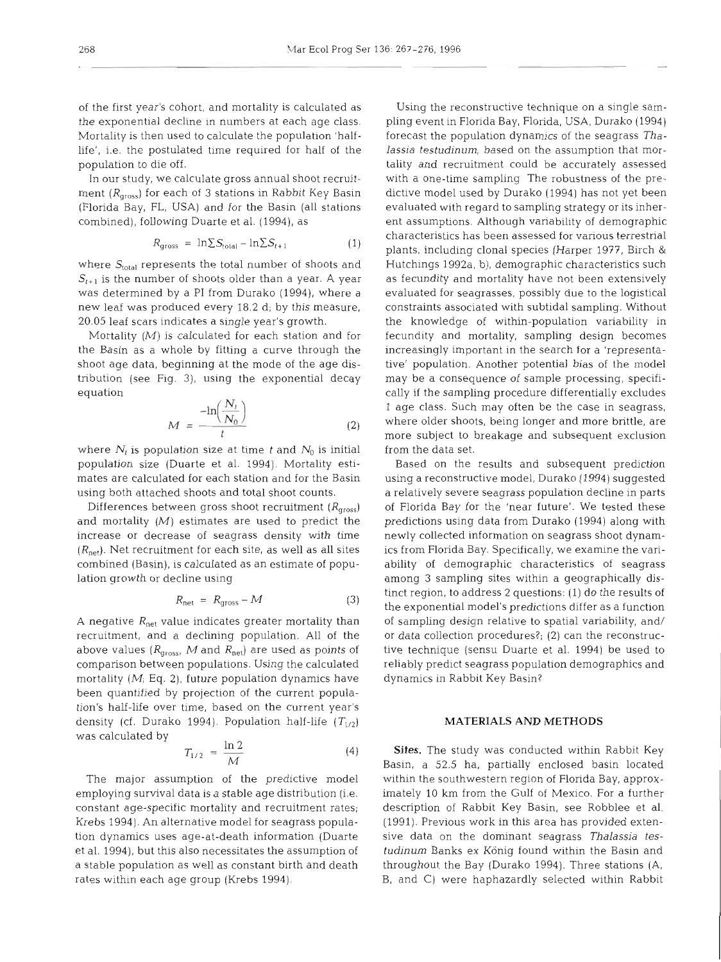of the first year's cohort, and mortality is calculated as the exponential decline in numbers at each age class. Mortality is then used to calculate the population 'halflife', i.e. the postulated time required for half of the population to die off.

In our study, we calculate gross annual shoot recruitment ( $R<sub>gross</sub>$ ) for each of 3 stations in Rabbit Key Basin (Florida Bay, FL, USA) and for the Basin (all stations combined), following Duarte et al. (1994), as

$$
R_{\text{gross}} = \ln \sum S_{\text{total}} - \ln \sum S_{t+1} \tag{1}
$$

where  $S_{\text{total}}$  represents the total number of shoots and  $S_{t+1}$  is the number of shoots older than a year. A year was determined by a PI from Durako (1994), where a new leaf was produced every 18.2 d; by this measure, 20.05 leaf scars indicates a single year's growth.

Mortality  $(M)$  is calculated for each station and for the Basin as a whole by fitting a curve through the shoot age data, beginning at the mode of the age distribution (see Fig. **3),** using the exponential decay equation  $\sim$   $\sim$ 

$$
M = \frac{-\ln\left(\frac{N_t}{N_0}\right)}{t} \tag{2}
$$

where  $N_t$  is population size at time t and  $N_0$  is initial population size (Duarte et al. 1994). Mortality estimates are calculated for each station and for the Basin using both attached shoots and total shoot counts.

Differences between gross shoot recruitment  $(R<sub>aross</sub>)$ and mortality  $(M)$  estimates are used to predict the increase or decrease of seagrass density with time  $(R_{\text{net}})$ . Net recruitment for each site, as well as all sites combined (Basin), is calculated as an estimate of population growth or decline using

$$
R_{\text{net}} = R_{\text{gross}} - M \tag{3}
$$

A negative  $R_{\text{net}}$  value indicates greater mortality than recruitment, and a declining population. All of the above values ( $R_{\text{gross}}$ , M and  $R_{\text{net}}$ ) are used as points of comparison between populations. Using the calculated mortality  $(M<sub>i</sub>$  Eq. 2), future population dynamics have been quantified by projection of the current population's half-life over time, based on the current year's density (cf. Durako 1994). Population half-life  $(T_{1/2})$ was calculated by

$$
T_{1/2} = \frac{\ln 2}{M} \tag{4}
$$

The major assumption of the predictive model employing survival data is a stable age distribution (i.e. constant age-specific mortality and recruitment rates; Krebs 1994). An alternative model for seagrass population dynamics uses age-at-death information (Duarte et al. 1994), but this also necessitates the assumption of a stable population as well as constant birth and death rates within each age group (Krebs 1994).

Using the reconstructive technique on a single sampling event in Florida Bay, Florida, USA, Durako (1994) forecast the population dynamics of the seagrass *Thalassia testudinum,* based on the assumption that mortality and recruitment could be accurately assessed with a one-time sampling The robustness of the predictive model used by Durako (1994) has not yet been evaluated with regard to sampling strategy or its inherent assumptions. Although variability of demographic characteristics has been assessed for various terrestrial plants, including clonal species (Harper 1977, Birch & Hutchings 1992a, b), demographic characteristics such as fecundity and mortality have not been extensively evaluated for seagrasses, possibly due to the logistical constraints associated with subtidal sampling. Without the knowledge of within-population variability in fecundity and mortality, sampling design becomes increasingly important in the search for a 'representative' population. Another potential bias of the model may be a consequence of sample processing, specifically if the sampling procedure differentially excludes 1 age class. Such may often be the case in seagrass, where older shoots, being longer and more brittle, are more subject to breakage and subsequent exclusion from the data set.

Based on the results and subsequent prediction using a reconstructive model, Durako (1994) suggested a relatively severe seagrass population decline in parts of Florida Bay for the 'near future'. We tested these predictions using data from Durako (1994) along with newly collected information on seagrass shoot dynamics from Florida Bay. Specifically, we examine the variability of demographic characteristics of seagrass among 3 sampling sites within a geographically distinct region, to address 2 questions: (l) do the results of the exponential model's predictions differ as a function of sampling design relative to spatial variability, and/ or data collection procedures?; (2) can the reconstructive technique (sensu Duarte et al. 1994) be used to reliably predict seagrass population demographics and dynamics in Rabbit Key Basin?

## **MATERIALS AND METHODS**

**Sites.** The study was conducted within Rabbit Key Basin, a 52.5 ha, partially enclosed basin located within the southwestern region of Florida Bay, approximately 10 km from the Gulf of Mexico. For a further description of Rabbit Key Basin, see Robblee et al. (1991). Previous work in this area has provided extensive data on the dominant seagrass *Thalassia testudinum* Banks ex Konig found within the Basin and throughout the Bay (Durako 1994). Three stations (A, B, and C) were haphazardly selected within Rabbit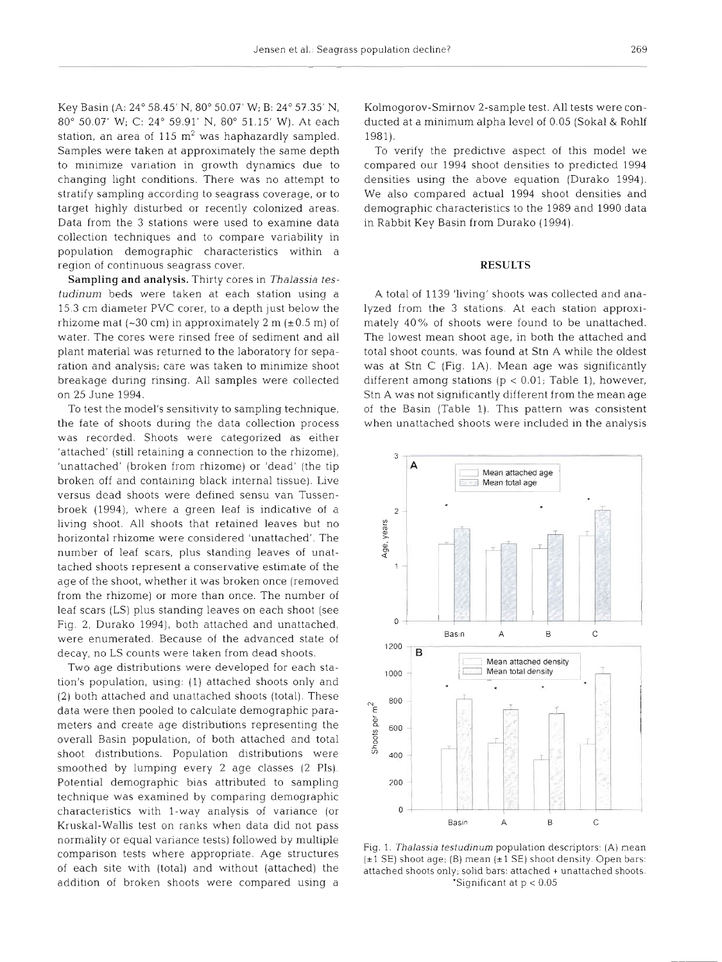Key Basin (A: 24" 58.45' N, 80" 50.07' W; B: 24" 57.35' N, 80" 50.07' W; C: 24" 59.91' N, 80" 51.15' W). At each station, an area of 115  $m<sup>2</sup>$  was haphazardly sampled. Samples were taken at approximately the same depth to minimize variation in growth dynamics due to changing light conditions. There was no attempt to stratify sampling according to seagrass coverage, or to target highly disturbed or recently colonized areas. Data from the 3 stations were used to examine dat collection techniques and to compare variability in population demographic characteristics within a region of continuous seagrass cover.

Sampling and analysis. Thirty cores in *Thalassia testudinun~* beds were taken at each station using a 15 3 cm diameter PVC corer, to a depth just below the rhizome mat  $(-30 \text{ cm})$  in approximately 2 m  $(\pm 0.5 \text{ m})$  of water. The cores were rinsed free of sediment and all plant material was returned to the laboratory for separation and analysis; care was taken to minimize shoot breakage during rinsing. All samples were collected on 25 June 1994.

To test the model's sensitivity to sampling technique, the fate of shoots during the data collection process was recorded. Shoots were categorized as either 'attached' (still retaining a connection to the rhizome), 'unattached' (broken from rhizome) or 'dead' (the tip broken off and containing black internal tissue). Live versus dead shoots were defined sensu van Tussenbroek (1994), where a green leaf is indicative of a living shoot. All shoots that retained leaves but no horizontal rhizome were considered 'unattached'. Th number of leaf scars, plus standing leaves of unattached shoots represent a conservative estimate of the age of the shoot, whether it was broken once (removed from the rhizome) or more than once. The number of leaf scars (LS) plus standing leaves on each shoot (see Fig. 2, Durako 1994), both attached and unattached, were enumerated. Because of the advanced state of decay, no LS counts were taken from dead shoots.

Two age distributions were developed for each station's population, using: (1) attached shoots only and (2) both attached and unattached shoots (total). These data were then pooled to calculate demographic parameters and create age distributions representing the overall Basin population, of both attached and total shoot distributions. Population distributions were smoothed by lumping every 2 age classes (2 PIS). Potential demographic bias attributed to sampling technique was examined by comparing demographic characteristics with l-way analysis of variance (or Kruskal-Wallis test on ranks when data did not pass normality or equal variance tests) followed by multiple comparison tests where appropriate. Age structures of each site with (total) and without (attached) the addition of broken shoots were compared using a Kolmogorov-Smirnov 2-sample test. All tests were conducted at a minimum alpha level of 0.05 (Sokal & Rohlf 1981).

To verify the predictive aspect of this model we compared our 1994 shoot densities to predicted 1994 densities using the above equation (Durako 1994). We also compared actual 1994 shoot densities and demographic characteristics to the 1989 and 1990 data in Rabbit Key Basin from Durako (1994).

#### **RESULT**

A total of 1139 'living' shoots was collected and analyzed from the 3 stations. At each station approximately 40% of shoots were found to be unattached. The lowest mean shoot age, in both the attached and total shoot counts, was found at Stn A while the oldest was at Stn C (Fig. 1A). Mean age was significantly different among stations ( $p < 0.01$ ; Table 1), however, Stn A was not significantly different from the mean age of the Basin (Table 1). This pattern was consistent when unattached shoots were included in the analysis



Fig. 1. *Thalassia testudinum* population descriptors: (A) mean  $(\pm 1 \text{ SE})$  shoot age; (B) mean  $(\pm 1 \text{ SE})$  shoot density. Open bars: attached shoots only, solid bars: attached + unattached shoots \*Significant at  $p < 0.05$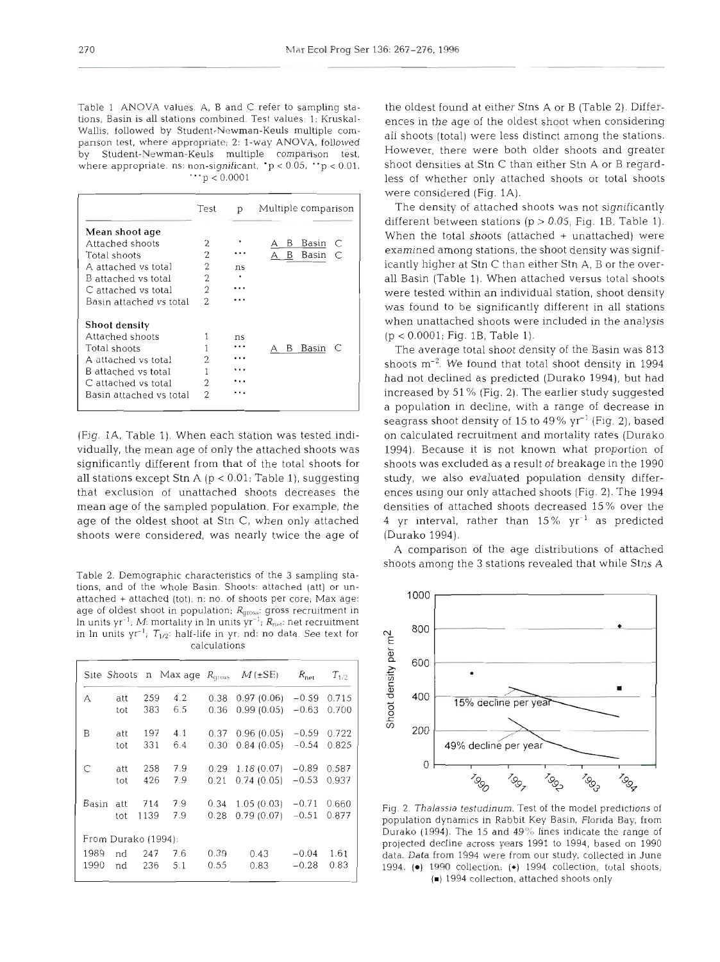Table 1 ANOVA values A, B and C refer to sampling stations, Basin is all stations combined. Test values: 1: Kruskal-Wallis, followed by Student-Newman-Keuls multiple companson test, where appropriate; 2: l-way ANOVA, followed by Student-Newman-Keuls multiple comparison test, where appropriate. ns: non-significant,  $p < 0.05$ ,  $p < 0.01$ .  $\cdots$  p < 0.0001

|                         | Test           | р  | Multiple comparison     |
|-------------------------|----------------|----|-------------------------|
| Mean shoot age          |                |    |                         |
| Attached shoots         | 2              |    | Basin<br>В<br>C         |
| Total shoots            | 2              | .  | $\subset$<br>Basin<br>B |
| A attached vs total     | 2              | ns |                         |
| B attached vs total     | 2              |    |                         |
| C attached vs total     | $\overline{2}$ |    |                         |
| Basin attached vs total | 2              |    |                         |
| <b>Shoot density</b>    |                |    |                         |
| Attached shoots         |                | ns |                         |
| Total shoots            |                |    | Basin<br>AB             |
| A attached vs total     | 2              |    |                         |
| B attached vs total     |                |    |                         |
| C attached vs total     | 2              |    |                         |
| Basin attached vs total | 2              |    |                         |

(Fig. lA, Table 1) When each station was tested individually, the mean age of only the attached shoots was significantly different from that of the total shoots for all stations except Stn A ( $p < 0.01$ ; Table 1), suggesting that exclusion of unattached shoots decreases the mean age of the sampled population. For example, the age of the oldest shoot at Stn C, when only attached shoots were considered, was nearly twice the age of

Table 2. Demographic characteristics of the 3 sampling stations, and of the whole Basin. Shoots: attached (att) or unattached + attached (tot); n: no. of shoots per core; Max age: age of oldest shoot in population;  $R_{\text{gross}}$ : gross recruitment in In units yr<sup>-1</sup>; M: mortality in In units yr<sup>-1</sup>;  $R_{net}$ : net recruitment calculations

|       |                     |      |           |      | Site Shoots n Max age $R_{aross}$ $M(\pm SE)$ | $R_{\text{net}}$ | $T_{1/2}$ |
|-------|---------------------|------|-----------|------|-----------------------------------------------|------------------|-----------|
| А     | att                 | 259  | 4.2       | 0.38 | 0.97(0.06)                                    | $-0.59$          | 0.715     |
|       | tot                 | 383  | 6.5       | 0.36 | $0.99(0.05) -0.63$                            |                  | 0.700     |
| B     | att                 |      | 197 4.1   |      | $0.37$ $0.96$ $(0.05)$ $-0.59$                |                  | 0.722     |
|       | tot                 | 331  | 6.4       | 0.30 | $0.84(0.05) -0.54$                            |                  | 0.825     |
| C     | att                 |      | 258 7.9   |      | $0.29$ 1.18 (0.07) $-0.89$                    |                  | 0.587     |
|       | tot                 | 426  | 7.9       | 0.21 | $0.74(0.05) -0.53$                            |                  | 0.937     |
| Basin | att                 |      | 714 7.9   |      | $0.34$ 1.05 (0.03) $-0.71$ 0.660              |                  |           |
|       | tot                 | 1139 | 7.9       | 0.28 | $0.79(0.07)$ -0.51                            |                  | 0.877     |
|       | From Durako (1994): |      |           |      |                                               |                  |           |
| 1989  | nd                  |      | $247$ 7.6 | 0.39 | 0.43                                          | $-0.04$          | 1.61      |
| 1990  | nd                  |      | 236 5.1   | 0.55 | 0.83                                          | $-0.28$          | 0.83      |

the oldest found at either Stns A or B (Table 2). Differences in the age of the oldest shoot when considering all shoots (total) were less distinct among the stations. However, there were both older shoots and greater shoot densities at Stn C than either Stn A or B regardless of whether only attached shoots or total shoots were considered (Fig. 1A).

The density of attached shoots was not significantly different between stations ( $p > 0.05$ ; Fig. 1B, Table 1). When the total shoots (attached  $+$  unattached) were examined among stations, the shoot density was significantly higher at Stn C than either Sin A, B or the overall Basin (Table 1). When attached versus total shoots were tested within an individual station, shoot density was found to be significantly different in all stations when unattached shoots were included in the analysis  $(p < 0.0001;$  Fig. 1B, Table 1).

The average total shoot density of the Basin was 813 shoots m-2. We found that total shoot density in 1994 had not declined as predicted (Durako 1994), but had increased by 51 % (Fig. 2). The earlier study suggested a population in decline, with a range of decrease in seagrass shoot density of 15 to 49% yr-' (Fig. **2),** based on calculated recruitment and mortality rates (Durako 1994). Because it is not known what proportion of shoots was excluded as a result of breakage in the 1990 study, we also evaluated population density differences using our only attached shoots (Fig. 2). The 1994 densities of attached shoots decreased 15% over the 4 yr interval, rather than  $15\%$  yr<sup>-1</sup> as predicted (Durako 1994).

A comparison of the age distributions of attached shoots among the 3 stations revealed that while Stns A



Fig. 2. *Thalassia* **testudinum.** Test of the model predictions of population dynamics in Rabbit Key Basin, Florida Bay, from Durako  $(1994)$ . The 15 and  $49\%$  lines indicate the range of projected decline across years 1991 to 1994, based on 1990 data. Data from 1994 were from our study, collected in June 1994. **(m)** 1990 collection; (\*) 1994 collection, total shoots; (m) 1994 collection, attached shoots only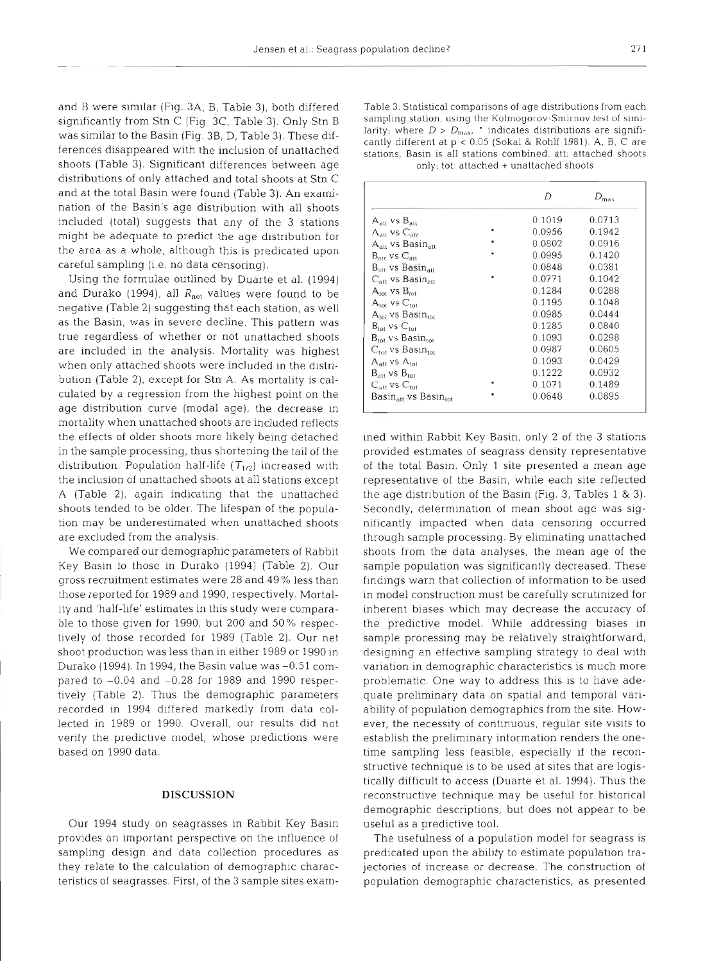and B were similar (Fig. 3A, B, Table 3), both differed significantly from Stn C (Fig 3C, Table 3). Only Stn B was similar to the Basin (Fig. 3B, D, Table 3). These differences disappeared with the inclusion of unattached shoots (Table 3). Significant differences between age distributions of only attached and total shoots at Stn C and at the total Basin were found (Table 3). An examination of the Basin's age distribution with all shoots included (total) suggests that any of the 3 stations might be adequate to predict the age distribution for the area as a whole, although this is predicated upon careful sampling (i.e. no data censoring).

Using the formulae outlined by Duarte et al. (1994) and Durako (1994), all  $R_{net}$  values were found to be negative (Table 2) suggesting that each station, as well as the Basin, was in severe decline. This pattern was true regardless of whether or not unattached shoots are included in the analysis. Mortality was highest when only attached shoots were included in the distribution (Table 2), except for Stn **A.** As mortality is calculated by a regression from the highest point on the age distribution curve (modal age), the decrease in mortality when unattached shoots are included reflects the effects of older shoots more likely being detached in the sample processing, thus shortening the tail of the distribution. Population half-life  $(T_{1/2})$  increased with the inclusion of unattached shoots at all stations except A (Table 2), again indicating that the unattached shoots tended to be older. The lifespan of the population may be underestimated when unattached shoots are excluded from the analysis.

We compared our demographic parameters of Rabbit Key Basin to those in Durako (1994) (Table 2). Our gross recruitment estimates were 28 and 49 % less than those reported for 1989 and 1990, respectively. Mortality and 'half-life' estimates in this study were comparable to those given for 1990, but 200 and 50% respectively of those recorded for 1989 (Table 2). Our net shoot production was less than in either 1989 or 1990 in Durako (1994). In 1994, the Basin value was -0.51 compared to  $-0.04$  and  $-0.28$  for 1989 and 1990 respectively (Table 2). Thus the demographic parameters recorded in 1994 differed markedly from data collected in 1989 or 1990. Overall, our results did not verify the predictive model, whose predictions were based on 1990 data.

## **DISCUSSION**

Our 1994 study on seagrasses in Rabbit Key Basin provides an important perspective on the influence of sampling design and data collection procedures as they relate to the calculation of demographic characteristics of seagrasses. First, of the 3 sample sites examTable 3. Statistical comparisons of age distributions from each sampling station, using the Kolmogorov-Smirnov test of similarity; where  $D > D_{\text{max}}$ , indicates distributions are significantly different at  $p < 0.05$  (Sokal

|                                             | D      | $D_{\text{max}}$ |
|---------------------------------------------|--------|------------------|
| A <sub>att</sub> vs B <sub>att</sub>        | 0.1019 | 0.0713           |
| $\rm A_{all}$ vs $\rm C_{att}$              | 0.0956 | 0.1942           |
| A <sub>an</sub> vs Basin <sub>an</sub>      | 0.0802 | 0.0916           |
| $B_{\rm{au}}$ , vs $C_{\rm{au}}$            | 0.0995 | 0.1420           |
| $B_{att}$ vs $Basin_{att}$                  | 0.0848 | 0.0381           |
| $C_{\rm att}$ vs Basin $_{\rm att}$         | 0.0771 | 0.1042           |
| $A_{\text{tot}}$ vs $B_{\text{tot}}$        | 0.1284 | 0.0288           |
| $A_{\text{tot}}$ vs $C_{\text{tot}}$        | 0.1195 | 0.1048           |
| A <sub>tot</sub> vs Basin <sub>iot</sub>    | 0.0985 | 0.0444           |
| $B_{\text{tot}}$ vs $C_{\text{tot}}$        | 0.1285 | 0.0840           |
| $\rm B_{tot}$ vs Basin $_{\rm tot}$         | 0.1093 | 0.0298           |
| $\mathrm{C_{tot}}$ vs Basin $_\mathrm{tot}$ | 0.0987 | 0.0605           |
| $A_{\text{att}}$ vs $A_{\text{tot}}$        | 0.1093 | 0.0429           |
| $B_{\rm att}$ vs $B_{\rm tot}$              | 0.1222 | 0.0932           |
| $C_{\text{att}}$ vs $C_{\text{fast}}$       | 0.1071 | 0.1489           |
| Basin <sub>an</sub> vs Basin <sub>tot</sub> | 0.0648 | 0.0895           |

ined within Rabbit Key Basin, only 2 of the 3 stations<br>provided estimates of seagrass density representative<br>of the total Basin. Only 1 site presented a mean age<br>representative of the Basin, while each site reflected<br>the a Secondly, determination of mean shoot age was sig-<br>nificantly impacted when data censoring occurrec<br>through sample processing. By eliminating unattached<br>shoots from the data calories, the mean age of the<br>sample population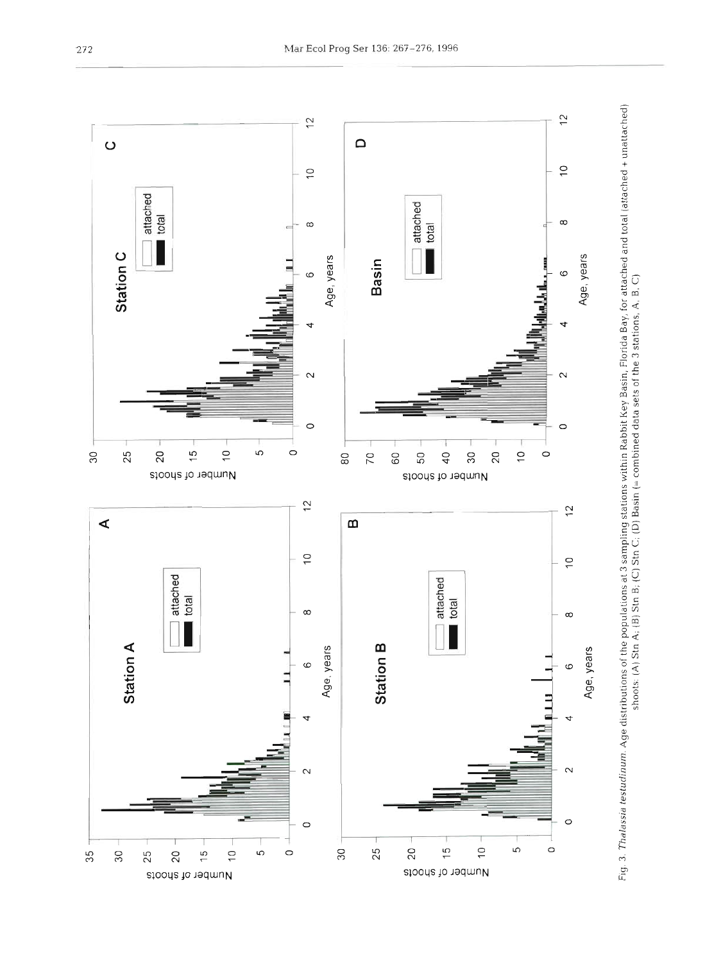

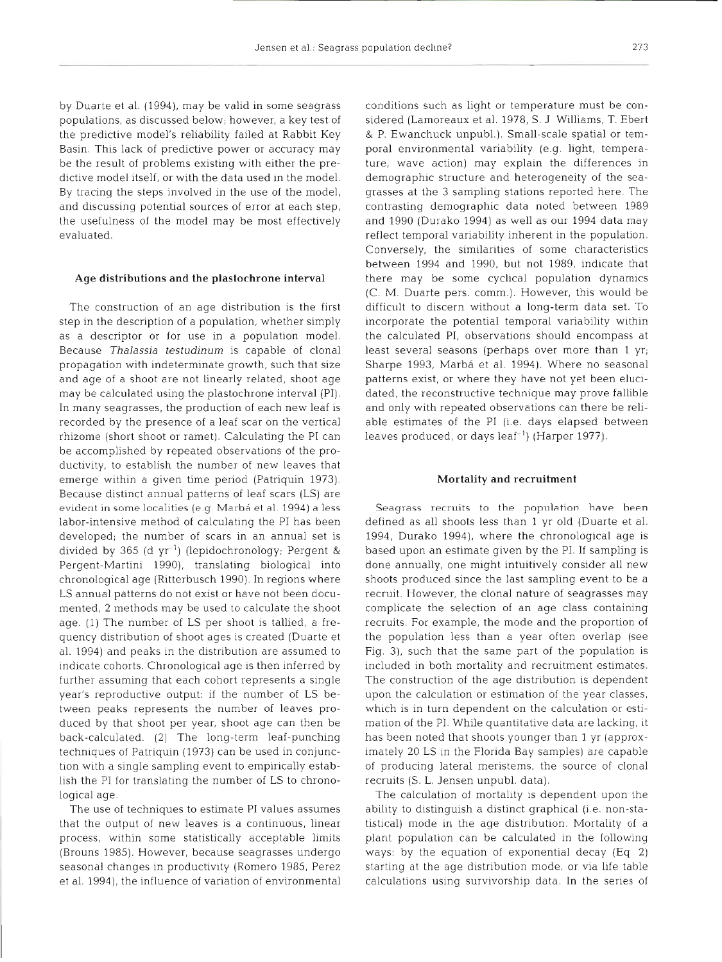by Duarte et al. (1994), may be valid in some seagrass populations, as discussed below; however, a key test of the predictive model's reliability failed at Rabbit Key Basin. This lack of predictive power or accuracy may be the result of problems existing with either the predictive model itself, or with the data used in the model. By tracing the steps involved in the use of the model, and discussing potential sources of error at each step, the usefulness of the model may be most effectively evaluated.

#### **Age distributions and the plastochrone interval**

The construction of an age distribution is the first step in the description of a population, whether simply as a descriptor or for use in a population model. Because *Thalassia testudinum* is capable of clonal propagation with indeterminate growth, such that size and age of a shoot are not linearly related, shoot age may be calculated using the plastochrone interval (PI). In many seagrasses, the production of each new leaf is recorded by the presence of a leaf scar on the vertical rhizome (short shoot or ramet). Calculating the PI can be accomplished by repeated observations of the productivity, to establish the number of new leaves that emerge within a given time period (Patriquin 1973). Because distinct annual patterns of leaf scars (LS) are evident in some localities (e.g. Marbá et al. 1994) a less labor-intensive method of calculating the PI has been developed; the number of scars in an annual set is divided by 365 (d  $yr^{-1}$ ) (lepidochronology; Pergent & Pergent-Martini 1990), translating biological into chronological age (Ritterbusch 1990). In regions where LS annual patterns do not exist or have not been documented, 2 methods may be used to calculate the shoot age. (1) The number of LS per shoot is tallied, a frequency distribution of shoot ages is created (Duarte et al. 1994) and peaks in the distribution are assumed to indicate cohorts. Chronological age is then inferred by further assuming that each cohort represents a single year's reproductive output: if the number of LS between peaks represents the number of leaves produced by that shoot per year, shoot age can then be back-calculated. (2) The long-term leaf-punching techniques of Patriquin (1973) can be used in conjunction with a single sampling event to empirically establish the PI for translating the number of LS to chronological age.

The use of techniques to estimate PI values assumes that the output of new leaves is a continuous, linear process, within some statistically acceptable limits (Brouns 1985). However, because seagrasses undergo seasonal changes in productivity (Romero 1985, Perez et al. 1994), the influence of variation of environmental

conditions such as light or temperature must be considered (Lamoreaux et al. 1978, S. J Williams, T. Ebert & P. Ewanchuck unpubl.). Small-scale spatial or temporal environmental variability (e.g. light, temperature, wave action) may explain the differences in demographic structure and heterogeneity of the seagrasses at the 3 sampling stations reported here. The contrasting demographic data noted between 1989 and 1990 (Durako 1994) as well as our 1994 data may reflect temporal variability inherent in the population. Conversely, the similarities of some characteristics between 1994 and 1990, but not 1989, indicate that there may be some cyclical population dynamics (C. M. Duarte pers. comm.). However, this would be difficult to discern without a long-term data set. To incorporate the potential temporal variability within the calculated PI, observations should encompass at least several seasons (perhaps over more than 1 yr; Sharpe 1993, Marbá et al. 1994). Where no seasonal patterns exist, or where they have not yet been elucidated, the reconstructive technique may prove fallible and only with repeated observations can there be reliable estimates of the PI (i.e. days elapsed between leaves produced, or days leaf-') (Harper 1977).

#### **Mortality and recruitment**

Seagrass recruits to the population have been defined as all shoots less than 1 yr old (Duarte et al. 1994, Durako 1994), where the chronological age is based upon an estimate given by the PI. If sampling is done annually, one might intuitively consider all new shoots produced since the last sampling event to be a recruit. However, the clonal nature of seagrasses may complicate the selection of an age class containing recruits. For example, the mode and the proportion of the population less than a year often overlap (see Fig. 3), such that the same part of the population is included in both mortality and recruitment estimates. The construction of the age distribution is dependent upon the calculation or estimation of the year classes, which is in turn dependent on the calculation or estimation of the PI. While quantitative data are lacking, it has been noted that shoots younger than 1 yr (approximately 20 LS in the Florida Bay samples) are capable of producing lateral meristems, the source of clonal recruits (S. L. Jensen unpubl. data).

The calculation of mortality is dependent upon the ability to distinguish a distinct graphical (i.e. non-statistical) mode in the age distribution. Mortality of a plant population can be calculated in the following ways: by the equation of exponential decay (Eq. 2) starting at the age distribution mode, or via life table calculations using survivorship data. In the series of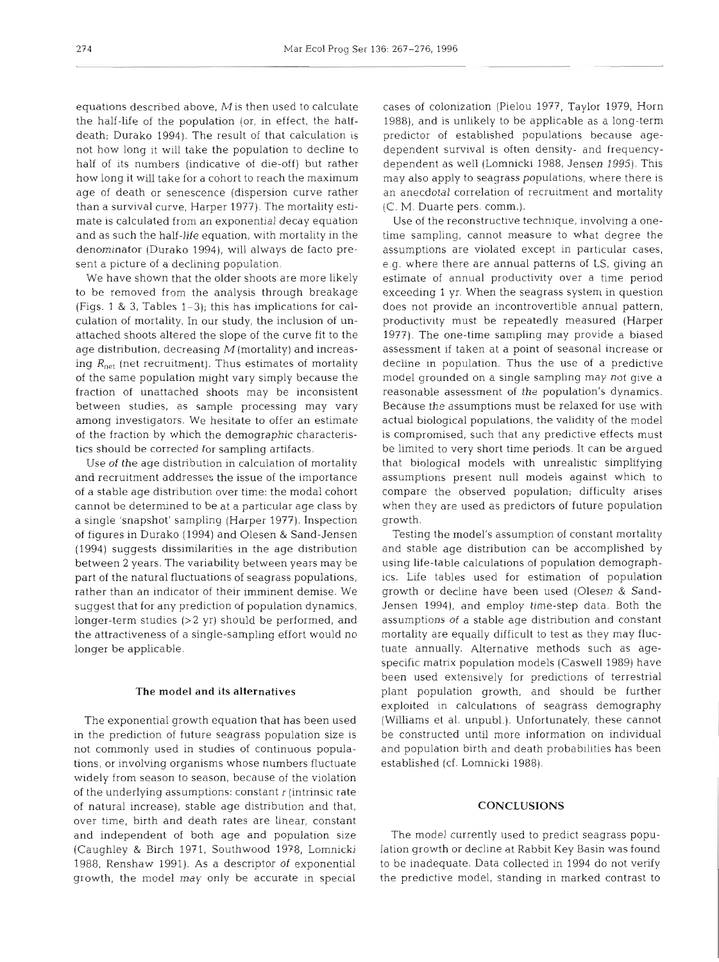equations described above, Mis then used to calculate the half-life of the population (or, in effect, the halfdeath; Durako 1994). The result of that calculation is not how long it will take the population to decline to half of its numbers (indicative of die-off) but rather how long it will take for a cohort to reach the maximum age of death or senescence (dispersion curve rather than a survival curve, Harper 1977). The mortality estimate is calculated from an exponential decay equation and as such the half-life equation, with mortality in the denominator (Durako 1994), will always de facto present a picture of a declining population.

We have shown that the older shoots are more likely to be removed from the analysis through breakage (Figs. l & **3,** Tables 1-3); this has implications for calculation of mortality. In our study, the inclusion of unattached shoots altered the slope of the curve fit to the age distribution, decreasing  $M$  (mortality) and increasing  $R_{\text{net}}$  (net recruitment). Thus estimates of mortality of the same population might vary simply because the fraction of unattached shoots may be inconsistent between studies, as sample processing may vary among investigators. We hesitate to offer an estimate of the fraction by which the demographic characteristics should be corrected for sampling artifacts.

Use of the age distribution in calculation of mortality and recruitment addresses the issue of the importance of a stable age distribution over time: the modal cohort cannot be determined to be at a particular age class by a single 'snapshot' sampling (Harper 1977). Inspection of figures in Durako (1994) and Olesen & Sand-Jensen (1994) suggests dissimilarities in the age distribution between 2 years. The variability between years may be part of the natural fluctuations of seagrass populations, rather than an indicator of their imminent demise. We suggest that for any prediction of population dynamics, longer-term studies  $(>2 \text{ yr})$  should be performed, and the attractiveness of a single-sampling effort would no longer be applicable.

## The model **and** its alternatives

The exponential growth equation that has been used in the prediction of future seagrass population size is not commonly used in studies of continuous populations, or involving organisms whose numbers fluctuate widely from season to season, because of the violation of the underlying assumptions: constant r (intrinsic rate of natural increase), stable age distribution and that, over time, birth and death rates are linear, constant and independent of both age and population size (Caughley & Birch 1971, Southwood 1978, Lomnicki 1988, Renshaw 1991). As a descnptor of exponential growth, the model may only be accurate in special

cases of colonization (Pielou 1977, Taylor 1979, Horn 1988), and is unlikely to be applicable as a long-term predictor of established populations because agedependent survival is often density- and frequencydependent as well (Lomnicki 1988, Jensen 1995). This may also apply to seagrass populations, where there is an anecdotal correlation of recruitment and mortality (C. M. Duarte pers. comm.).

Use of the reconstructive technique, involving a onetime sampling, cannot measure to what degree the assumptions are violated except in particular cases, e.g. where there are annual patterns of LS, giving an estimate of annual productivity over a time period exceeding 1 yr. When the seagrass system in question does not provide an incontrovertible annual pattern, productivity must be repeatedly measured (Harper 1977). The one-time sampling may provide a biased assessment if taken at a point of seasonal increase or decline in population. Thus the use of a predictive model grounded on a single sampling may not give a reasonable assessment of the population's dynamics. Because the assumptions must be relaxed for use with actual biological populations, the validity of the model is compromised, such that any predictive effects must be limited to very short time periods. It can be argued that biological models with unrealistic simplifying assumptions present null models against which to compare the observed population; difficulty arises when they are used as predictors of future population growth.

Testing the model's assumption of constant mortality and stable age distribution can be accomplished by using life-table calculations of population demographics. Life tables used for estimation of population growth or decline have been used (Olesen & Sand-Jensen 1994), and employ time-step data. Both the assumptions of a stable age distribution and constant mortality are equally difficult to test as they may fluctuate annually. Alternative methods such as agespecific matrix population models (Caswell 1989) have been used extensively for predictions of terrestrial plant population growth, and should be further exploited in calculations of seagrass demography (Williams et al. unpubl.). Unfortunately, these cannot be constructed until more information on individual and population birth and death probabilities has been established (cf. Lomnicki 1988).

### **CONCLUSIONS**

The model currently used to predict seagrass population growth or decline at Rabbit Key Basin was found to be inadequate. Data collected in 1994 do not verify the predictive model, standing in marked contrast to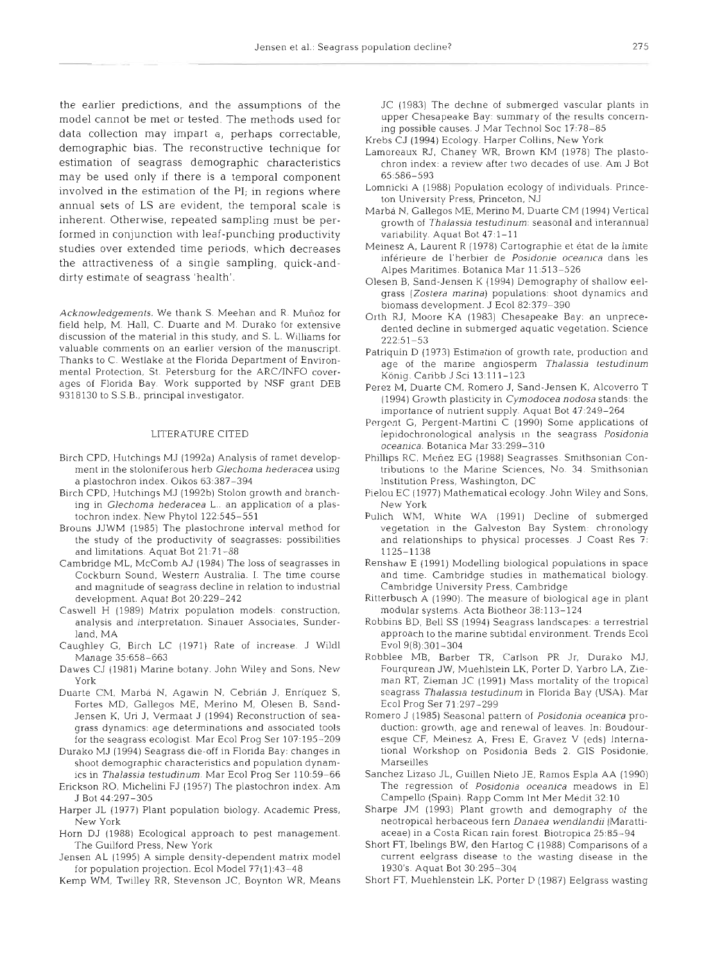the earlier predictions, and the assumptions of the model cannot be met or tested. The methods used for data collection may impart a, perhaps correctable, demographic bias. The reconstructive technique for estimation of seagrass demographic characteristics may be used only if there is a temporal component involved in the estimation of the PI; in regions where annual sets of LS are evident, the temporal scale is inherent. Otherwise, repeated sampling must be performed in conjunction with leaf-punching productivity studies over extended time periods, which decreases the attractiveness of a single sampling, quick-anddirty estimate of seagrass 'health'.

Acknowledgements. We thank S. Meehan and R. Muñoz for<br>field help, M. Hall, C. Duarte and M. Durako for extensive<br>discussion of the material in this study, and S. L. Williams for<br>valuable comments on an earlier version of t valuable comments on an earlier version of the manuscript.<br>
Thanks to C. Westlake at the Florida Department of Environ-<br>
mental Protection, St. Petersburg for the ARC/INFO cover-<br>
age of the marine angiosperm *Thalassia te* 

#### LITERATURE CITED

- Birch CPD, Hutchings MJ (1992a) Analysis of ramet development in the stoloniferous herb Glechoma hederacea using a plastochron index. Oikos 63:387-394
- Birch CPD, Hutchings MJ (1992b) Stolon growth and branching in Glechoma hederacea L.. an application of a plastochron index. New Phytol 122:545-551
- Brouns JJWM (1985) The plastochrone interval method for the study of the productivity of seagrasses: possibilities and limitations Aquat Bot 21:71-88
- Cambridge ML, McComb AJ (1984) The loss of seagrasses in Cockburn Sound, Western Australia. I. The time course and magnitude of seagrass decline in relation to industrial development. Aquat Bot 20:229-242
- Caswell H (1989) Matrix population models: construction, analysis and interpretation. Sinauer Associates, Sunderland, MA
- Caughley G, Birch LC (1971) Rate of increase. J Wildl Manage 35:658-663
- Dawes CJ (1981) Marine botany. John Wiley and Sons, New York
- Duarte CM, Marbá N, Agawin N, Cebrián J, Enríquez S, Fortes MD, Gallegos ME. Merino M, Olesen B, Sand-Jensen K, Uri J. Vermaat J (1994) Reconstruction of seagrass dynamics: age determinations and associated tools for the seagrass ecologist. Mar Ecol Prog Ser 107:195-209
- Durako MJ (1994) Seagrass die-off in Florida Bay: changes in shoot demographic characteristics and population dynamics in Thalassia testudinum. Mar Ecol Prog Ser 110:59-66
- Erickson RO, Michelini FJ (1957) The plastochron index. Am J Bot 44.297-305
- Harper JL (1977) Plant population biology. Academic Press, New York
- Horn DJ (1988) Ecological approach to pest management. The Guilford Press, New York
- Jensen AL (1995) A simple density-dependent matrix model for population projection. Ecol Model 77(1):43-48
- Kemp WM. Twilley RR. Stevenson JC, Boynton WK, Means

JC (1983) The decline of submerged vascular plants in upper Chesapeake Bay: summary of the results concerning possible causes. J Mar Technol Soc 17:78-85

- Krebs CJ (1994) Ecology. Harper Collins, New York
- Lamoreaux RJ, Chaney WR, Brown KM (1978) The plasto- $\,$  chron index: a review after two decades of use. Am J Bo $\,$ 65:586-593
- Lomnicki A (1988) Population ecology of individuals. Princeton University Press, Princeton, NJ
- Marba N, Gallegos ME, Merino M, Duarte CM (1994) Vertical growth of Thalassia testudinum: seasonal and interannual variability. Aquat Bot 47:l-11
- Meinesz A, Laurent R (1978) Cartographie et état de la limite inferieure de l'herbier de Posidonie oceanica dans les Alpes Maritimes. Botanica Mar 11:513-526
- Olesen B, Sand-Jensen K (1994) Demography of shallow eelgrass (Zostera marina) populations: shoot dynamics and
- 
- 
- ages of Florida Bay. Work supported by NSF grant DEB Perez M, Duarte CM, Romero J, Sand-Jensen K, Alcoverro T<br>9318130 to S.S.B., principal investigator. (1994) Growth plasticity in *Cymodocea nodosa* stands: the importance of nutrient supply. Aquat Bot 47:249-264
	- Pergent G, Pergent-Martini C (1990) Some applications of lepidochronological analysis In the seagrass Posidonia oceanica. Botanica Mar 33:299-310
	- Phillips RC, Menez EG (1988) Seagrasses. Smithsonian Contributions to the Marine Sciences, No. 34. Smithsonian Institution Press, Washington, DC
	- Pielou EC (1977) Mathematical ecology. John Wiley and Sons. New York
	- Pulich WM. White WA (1991) Decline of submerged vegetation in the Galveston Bay System: chronology and relationships to physical processes. J Coast Res 7: 1125-1138
	- Renshaw E (1991) Modelling biological populations in space and time. Cambridge studies in mathematical biology. Cambridge University Press, Cambridge
	- Ritterbusch A (1990). The measure of biological age in plant modular systems Acta Biotheor 38:113-124
	- Robblns BD, Bell SS (1994) Seagrass landscapes: a terrestrial approach to the marine subtidal environment. Trends Ecol Evol 9(8):301-304
	- Robblee MB. Bdrber TR, Carlson PR Jr, Durako MJ, Fourqurean JW, Muehlstein LK, Porter D, Yarbro LA, Zieman RT, Zieman JC (1991) Mass mortality of the tropical seagrass Thalassia testudinum in Florida Bay (USA). Mar Ecol Prog Ser 71:297-299
	- Romero J (1985) Seasonal pattern of Posidonia oceanica production: growth, age and renewal of leaves. In: Boudouresque CF. Meinesz A. Fresi E, Gravez V (eds) International Workshop on Posidonia Beds **2.** GlS Posidonie, Marseilles
	- Sanchez Lizaso JL, Guillen Nieto JE, Ramos Espla AA (1990) The regression of Posidonia oceanica meadows in El Campello (Spain). Rapp Comm Int Mer Médit 32:10 |
	- Sharpe JM (1993) Plant growth and demography of the neotropical herbaceous fern Danaea wendlandii (Marattiaceae) In a Costa Rican rain forest. Biotropica 25.85-94
	- Short FT, Ibelings BW, den Hartog C (1988) Comparisons of a current eelgrass disease to the wasting disease in the 1930's Aquat Bot 30:295-304
	- Short FT, Muehlenstein LK, Porter D (1987) Eelgrass wasting